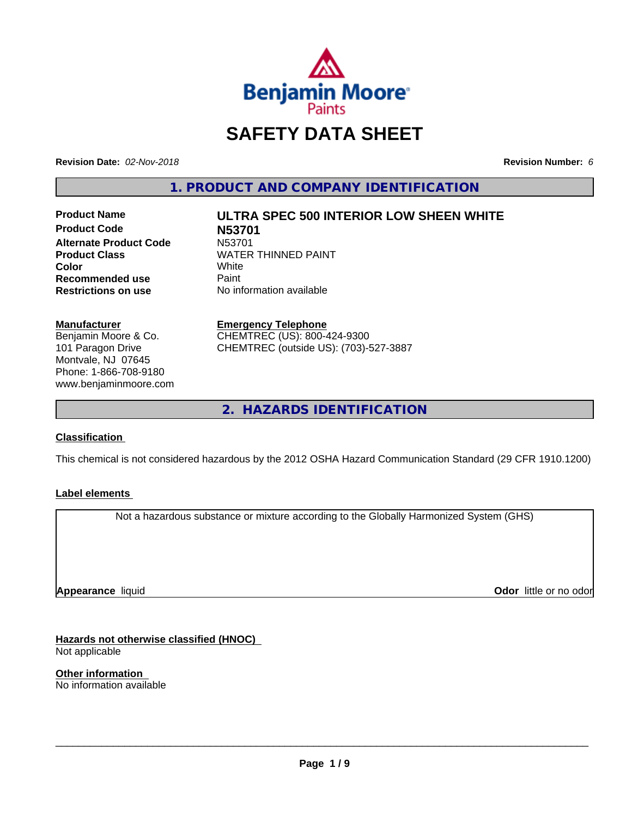

# **SAFETY DATA SHEET**

**Revision Date:** *02-Nov-2018* **Revision Number:** *6*

**1. PRODUCT AND COMPANY IDENTIFICATION**

**Product Name ULTRA SPEC 500 INTERIOR LOW SHEEN WHITE Product Code 1998**<br>**Alternate Product Code** N53701 **Alternate Product Code**<br>Product Class **Color** White White **Recommended use** Paint<br> **Restrictions on use** No inf

**WATER THINNED PAINT**<br>White

**No information available** 

**Manufacturer**

Benjamin Moore & Co. 101 Paragon Drive Montvale, NJ 07645 Phone: 1-866-708-9180 www.benjaminmoore.com

#### **Emergency Telephone**

CHEMTREC (US): 800-424-9300 CHEMTREC (outside US): (703)-527-3887

**2. HAZARDS IDENTIFICATION**

# **Classification**

This chemical is not considered hazardous by the 2012 OSHA Hazard Communication Standard (29 CFR 1910.1200)

# **Label elements**

Not a hazardous substance or mixture according to the Globally Harmonized System (GHS)

**Appearance** liquid

**Odor** little or no odor

**Hazards not otherwise classified (HNOC)** Not applicable

**Other information** No information available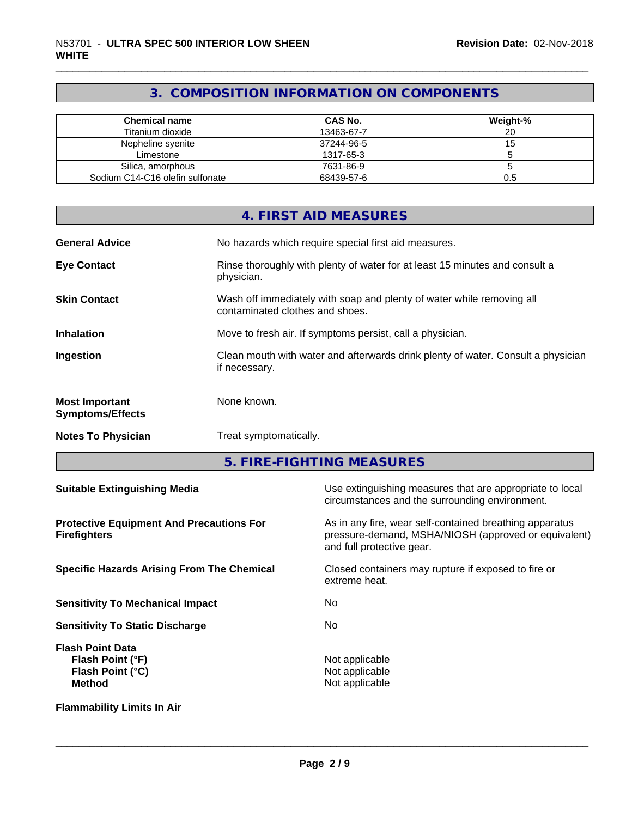# **3. COMPOSITION INFORMATION ON COMPONENTS**

| <b>Chemical name</b>            | CAS No.    | Weight-% |
|---------------------------------|------------|----------|
| Titanium dioxide                | 13463-67-7 | 20       |
| Nepheline svenite               | 37244-96-5 |          |
| Limestone                       | 1317-65-3  |          |
| Silica, amorphous               | 7631-86-9  |          |
| Sodium C14-C16 olefin sulfonate | 68439-57-6 | U.5      |

|                                                  | 4. FIRST AID MEASURES                                                                                    |
|--------------------------------------------------|----------------------------------------------------------------------------------------------------------|
| <b>General Advice</b>                            | No hazards which require special first aid measures.                                                     |
| <b>Eye Contact</b>                               | Rinse thoroughly with plenty of water for at least 15 minutes and consult a<br>physician.                |
| <b>Skin Contact</b>                              | Wash off immediately with soap and plenty of water while removing all<br>contaminated clothes and shoes. |
| <b>Inhalation</b>                                | Move to fresh air. If symptoms persist, call a physician.                                                |
| Ingestion                                        | Clean mouth with water and afterwards drink plenty of water. Consult a physician<br>if necessary.        |
| <b>Most Important</b><br><b>Symptoms/Effects</b> | None known.                                                                                              |
| <b>Notes To Physician</b>                        | Treat symptomatically.                                                                                   |

**5. FIRE-FIGHTING MEASURES**

| <b>Suitable Extinguishing Media</b>                                              | Use extinguishing measures that are appropriate to local<br>circumstances and the surrounding environment.                                   |  |
|----------------------------------------------------------------------------------|----------------------------------------------------------------------------------------------------------------------------------------------|--|
| <b>Protective Equipment And Precautions For</b><br><b>Firefighters</b>           | As in any fire, wear self-contained breathing apparatus<br>pressure-demand, MSHA/NIOSH (approved or equivalent)<br>and full protective gear. |  |
| <b>Specific Hazards Arising From The Chemical</b>                                | Closed containers may rupture if exposed to fire or<br>extreme heat.                                                                         |  |
| <b>Sensitivity To Mechanical Impact</b>                                          | No.                                                                                                                                          |  |
| <b>Sensitivity To Static Discharge</b>                                           | No.                                                                                                                                          |  |
| <b>Flash Point Data</b><br>Flash Point (°F)<br>Flash Point (°C)<br><b>Method</b> | Not applicable<br>Not applicable<br>Not applicable                                                                                           |  |
| <b>Flammability Limits In Air</b>                                                |                                                                                                                                              |  |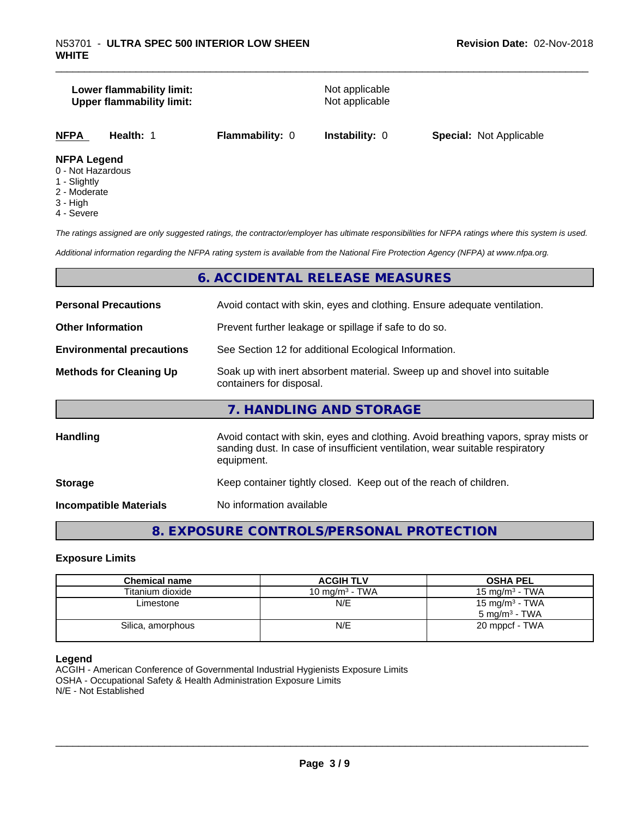# **Lower flammability limit:**<br> **Upper flammability limit:**<br>
Upper flammability limit:<br>
Not applicable **Upper flammability limit:**

**NFPA Health:** 1 **Flammability:** 0 **Instability:** 0 **Special:** Not Applicable

# **NFPA Legend**

- 0 Not Hazardous
- 1 Slightly
- 2 Moderate
- 3 High
- 4 Severe

*The ratings assigned are only suggested ratings, the contractor/employer has ultimate responsibilities for NFPA ratings where this system is used.*

*Additional information regarding the NFPA rating system is available from the National Fire Protection Agency (NFPA) at www.nfpa.org.*

# **6. ACCIDENTAL RELEASE MEASURES**

| <b>Personal Precautions</b>      | Avoid contact with skin, eyes and clothing. Ensure adequate ventilation.                                                                                                         |
|----------------------------------|----------------------------------------------------------------------------------------------------------------------------------------------------------------------------------|
| <b>Other Information</b>         | Prevent further leakage or spillage if safe to do so.                                                                                                                            |
| <b>Environmental precautions</b> | See Section 12 for additional Ecological Information.                                                                                                                            |
| <b>Methods for Cleaning Up</b>   | Soak up with inert absorbent material. Sweep up and shovel into suitable<br>containers for disposal.                                                                             |
|                                  | 7. HANDLING AND STORAGE                                                                                                                                                          |
| <b>Handling</b>                  | Avoid contact with skin, eyes and clothing. Avoid breathing vapors, spray mists or<br>sanding dust. In case of insufficient ventilation, wear suitable respiratory<br>equipment. |
| <b>Storage</b>                   | Keep container tightly closed. Keep out of the reach of children.                                                                                                                |
| <b>Incompatible Materials</b>    | No information available                                                                                                                                                         |

# **8. EXPOSURE CONTROLS/PERSONAL PROTECTION**

# **Exposure Limits**

| <b>Chemical name</b> | <b>ACGIH TLV</b>  | <b>OSHA PEL</b>            |
|----------------------|-------------------|----------------------------|
| Titanium dioxide     | 10 mg/m $3$ - TWA | 15 mg/m $3$ - TWA          |
| Limestone            | N/E               | 15 mg/m <sup>3</sup> - TWA |
|                      |                   | $5 \text{ ma/m}^3$ - TWA   |
| Silica, amorphous    | N/E               | 20 mppcf - TWA             |
|                      |                   |                            |

#### **Legend**

ACGIH - American Conference of Governmental Industrial Hygienists Exposure Limits OSHA - Occupational Safety & Health Administration Exposure Limits N/E - Not Established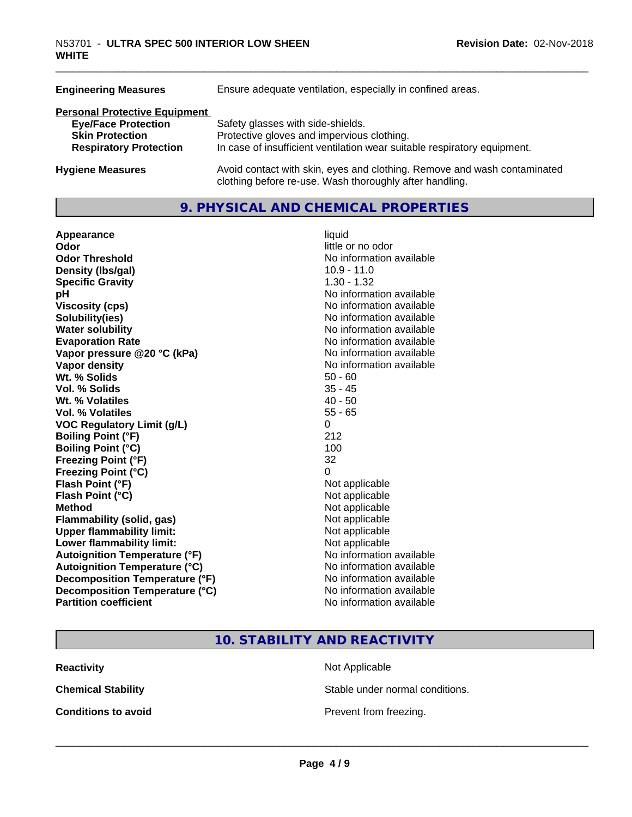| <b>Engineering Measures</b>          | Ensure adequate ventilation, especially in confined areas.                                                                          |  |  |
|--------------------------------------|-------------------------------------------------------------------------------------------------------------------------------------|--|--|
| <b>Personal Protective Equipment</b> |                                                                                                                                     |  |  |
| <b>Eye/Face Protection</b>           | Safety glasses with side-shields.                                                                                                   |  |  |
| <b>Skin Protection</b>               | Protective gloves and impervious clothing.                                                                                          |  |  |
| <b>Respiratory Protection</b>        | In case of insufficient ventilation wear suitable respiratory equipment.                                                            |  |  |
| <b>Hygiene Measures</b>              | Avoid contact with skin, eyes and clothing. Remove and wash contaminated<br>clothing before re-use. Wash thoroughly after handling. |  |  |

# **9. PHYSICAL AND CHEMICAL PROPERTIES**

| Appearance                           | liquid                   |
|--------------------------------------|--------------------------|
| Odor                                 | little or no odor        |
| <b>Odor Threshold</b>                | No information available |
| Density (Ibs/gal)                    | $10.9 - 11.0$            |
| <b>Specific Gravity</b>              | $1.30 - 1.32$            |
| pH                                   | No information available |
| <b>Viscosity (cps)</b>               | No information available |
| Solubility(ies)                      | No information available |
| <b>Water solubility</b>              | No information available |
| <b>Evaporation Rate</b>              | No information available |
| Vapor pressure @20 °C (kPa)          | No information available |
| Vapor density                        | No information available |
| Wt. % Solids                         | $50 - 60$                |
| Vol. % Solids                        | $35 - 45$                |
| Wt. % Volatiles                      | $40 - 50$                |
| Vol. % Volatiles                     | $55 - 65$                |
| <b>VOC Regulatory Limit (g/L)</b>    | $\Omega$                 |
| <b>Boiling Point (°F)</b>            | 212                      |
| <b>Boiling Point (°C)</b>            | 100                      |
| <b>Freezing Point (°F)</b>           | 32                       |
| Freezing Point (°C)                  | $\Omega$                 |
| Flash Point (°F)                     | Not applicable           |
| Flash Point (°C)                     | Not applicable           |
| <b>Method</b>                        | Not applicable           |
| Flammability (solid, gas)            | Not applicable           |
| <b>Upper flammability limit:</b>     | Not applicable           |
| Lower flammability limit:            | Not applicable           |
| <b>Autoignition Temperature (°F)</b> | No information available |
| <b>Autoignition Temperature (°C)</b> | No information available |
| Decomposition Temperature (°F)       | No information available |
| Decomposition Temperature (°C)       | No information available |
| <b>Partition coefficient</b>         | No information available |

**Not applicable Not applicable** Not applicable **Flammability (solid, gas)** Not applicable **Not applicable Not applicable No information available Autoignition Temperature (°C)** No information available **No information available No information available No information available 10. STABILITY AND REACTIVITY Reactivity** Not Applicable

**Chemical Stability Stable under normal conditions.** 

**Conditions to avoid Conditions to avoid Prevent from freezing.**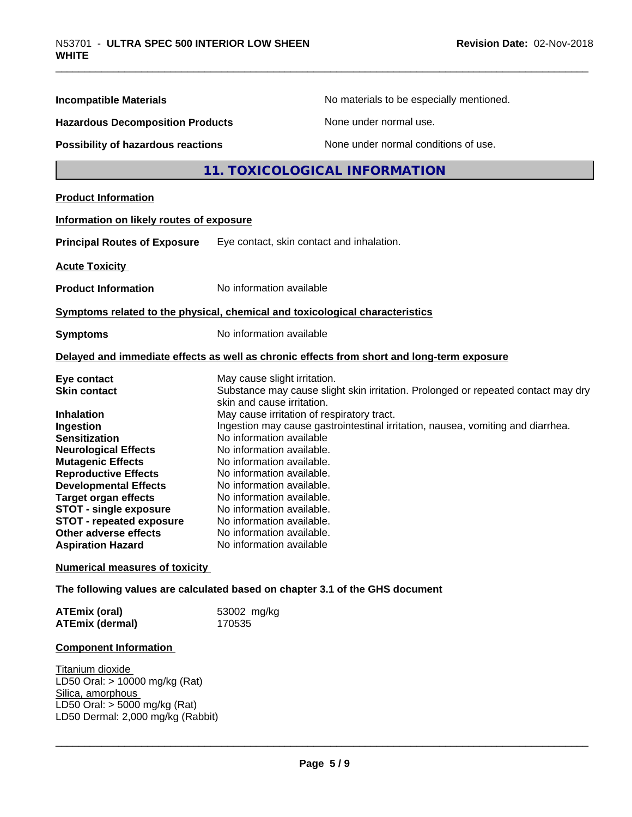| <b>Incompatible Materials</b>            | No materials to be especially mentioned.                                                   |
|------------------------------------------|--------------------------------------------------------------------------------------------|
| <b>Hazardous Decomposition Products</b>  | None under normal use.                                                                     |
| Possibility of hazardous reactions       | None under normal conditions of use.                                                       |
|                                          | 11. TOXICOLOGICAL INFORMATION                                                              |
| <b>Product Information</b>               |                                                                                            |
|                                          |                                                                                            |
| Information on likely routes of exposure |                                                                                            |
| <b>Principal Routes of Exposure</b>      | Eye contact, skin contact and inhalation.                                                  |
| <b>Acute Toxicity</b>                    |                                                                                            |
| <b>Product Information</b>               | No information available                                                                   |
|                                          | Symptoms related to the physical, chemical and toxicological characteristics               |
| <b>Symptoms</b>                          | No information available                                                                   |
|                                          | Delayed and immediate effects as well as chronic effects from short and long-term exposure |
| Eye contact                              | May cause slight irritation.                                                               |
| <b>Skin contact</b>                      | Substance may cause slight skin irritation. Prolonged or repeated contact may dry          |
| <b>Inhalation</b>                        | skin and cause irritation.<br>May cause irritation of respiratory tract.                   |
| Ingestion                                | Ingestion may cause gastrointestinal irritation, nausea, vomiting and diarrhea.            |
| <b>Sensitization</b>                     | No information available                                                                   |
| <b>Neurological Effects</b>              | No information available.                                                                  |
| <b>Mutagenic Effects</b>                 | No information available.                                                                  |
| <b>Reproductive Effects</b>              | No information available.                                                                  |
| <b>Developmental Effects</b>             | No information available.                                                                  |
| <b>Target organ effects</b>              | No information available.                                                                  |
| <b>STOT - single exposure</b>            | No information available.                                                                  |
| <b>STOT - repeated exposure</b>          | No information available.                                                                  |
| <b>Other adverse effects</b>             | No information available.                                                                  |
| <b>Aspiration Hazard</b>                 | No information available                                                                   |
| <b>Numerical measures of toxicity</b>    |                                                                                            |
|                                          | The following values are calculated based on chapter 3.1 of the GHS document               |
| <b>ATEmix (oral)</b>                     | 53002 mg/kg                                                                                |
| <b>ATEmix (dermal)</b>                   | 170535                                                                                     |

# **Component Information**

Titanium dioxide LD50 Oral: > 10000 mg/kg (Rat) Silica, amorphous LD50 Oral: > 5000 mg/kg (Rat) LD50 Dermal: 2,000 mg/kg (Rabbit)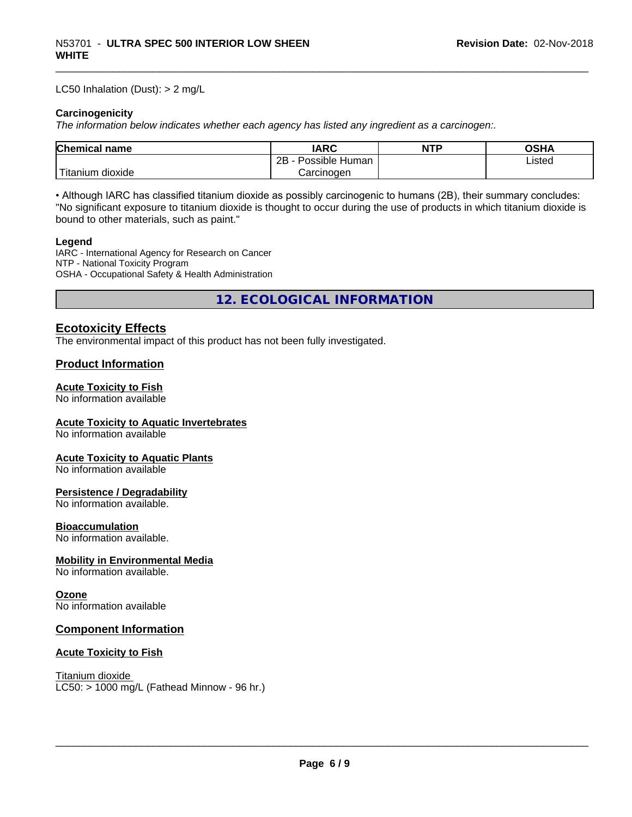#### LC50 Inhalation (Dust): > 2 mg/L

#### **Carcinogenicity**

*The information below indicateswhether each agency has listed any ingredient as a carcinogen:.*

| Chemical<br>`name      | <b>IARC</b>                  | <b>NTP</b> | <b>OSHA</b> |
|------------------------|------------------------------|------------|-------------|
|                        | .<br>2B<br>Human<br>Possible |            | ∟isted      |
| n dioxide<br>l itanıum | Carcinoɑen                   |            |             |

• Although IARC has classified titanium dioxide as possibly carcinogenic to humans (2B), their summary concludes: "No significant exposure to titanium dioxide is thought to occur during the use of products in which titanium dioxide is bound to other materials, such as paint."

#### **Legend**

IARC - International Agency for Research on Cancer NTP - National Toxicity Program OSHA - Occupational Safety & Health Administration

**12. ECOLOGICAL INFORMATION**

# **Ecotoxicity Effects**

The environmental impact of this product has not been fully investigated.

# **Product Information**

#### **Acute Toxicity to Fish**

No information available

# **Acute Toxicity to Aquatic Invertebrates**

No information available

#### **Acute Toxicity to Aquatic Plants**

No information available

# **Persistence / Degradability**

No information available.

#### **Bioaccumulation**

No information available.

#### **Mobility in Environmental Media**

No information available.

#### **Ozone**

No information available

# **Component Information**

#### **Acute Toxicity to Fish**

Titanium dioxide  $LC50: > 1000$  mg/L (Fathead Minnow - 96 hr.)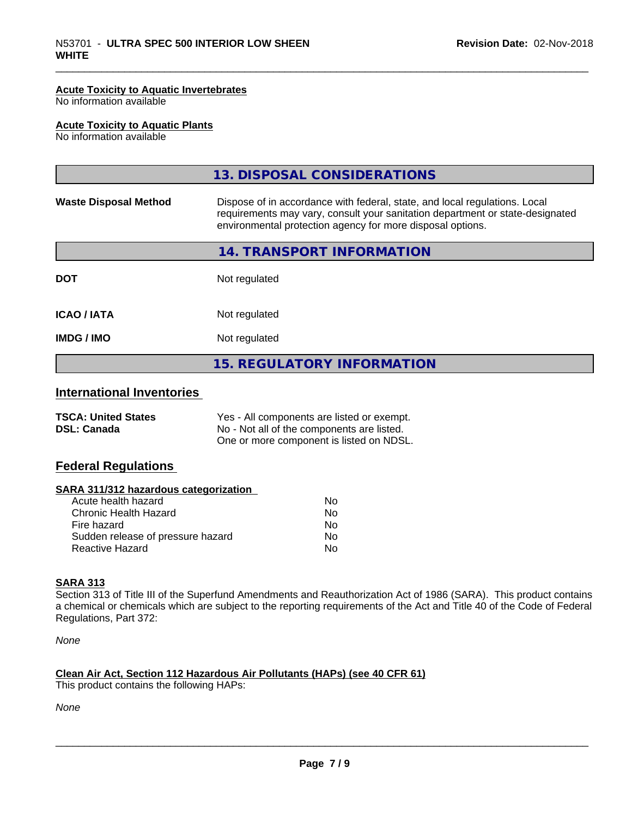#### **Acute Toxicity to Aquatic Invertebrates**

No information available

#### **Acute Toxicity to Aquatic Plants**

No information available

| <b>IMDG / IMO</b>            | Not regulated                                                                                                                                                                                                             |  |
|------------------------------|---------------------------------------------------------------------------------------------------------------------------------------------------------------------------------------------------------------------------|--|
|                              |                                                                                                                                                                                                                           |  |
| <b>ICAO / IATA</b>           | Not regulated                                                                                                                                                                                                             |  |
| <b>DOT</b>                   | Not regulated                                                                                                                                                                                                             |  |
|                              | 14. TRANSPORT INFORMATION                                                                                                                                                                                                 |  |
| <b>Waste Disposal Method</b> | Dispose of in accordance with federal, state, and local regulations. Local<br>requirements may vary, consult your sanitation department or state-designated<br>environmental protection agency for more disposal options. |  |
|                              | 13. DISPOSAL CONSIDERATIONS                                                                                                                                                                                               |  |

# **International Inventories**

| <b>TSCA: United States</b> | Yes - All components are listed or exempt. |
|----------------------------|--------------------------------------------|
| <b>DSL: Canada</b>         | No - Not all of the components are listed. |
|                            | One or more component is listed on NDSL.   |

# **Federal Regulations**

#### **SARA 311/312 hazardous categorization**

| Acute health hazard               | Nο |
|-----------------------------------|----|
| Chronic Health Hazard             | N٥ |
| Fire hazard                       | N٥ |
| Sudden release of pressure hazard | N٥ |
| Reactive Hazard                   | N٥ |

# **SARA 313**

Section 313 of Title III of the Superfund Amendments and Reauthorization Act of 1986 (SARA). This product contains a chemical or chemicals which are subject to the reporting requirements of the Act and Title 40 of the Code of Federal Regulations, Part 372:

*None*

#### **Clean Air Act,Section 112 Hazardous Air Pollutants (HAPs) (see 40 CFR 61)**

This product contains the following HAPs:

*None*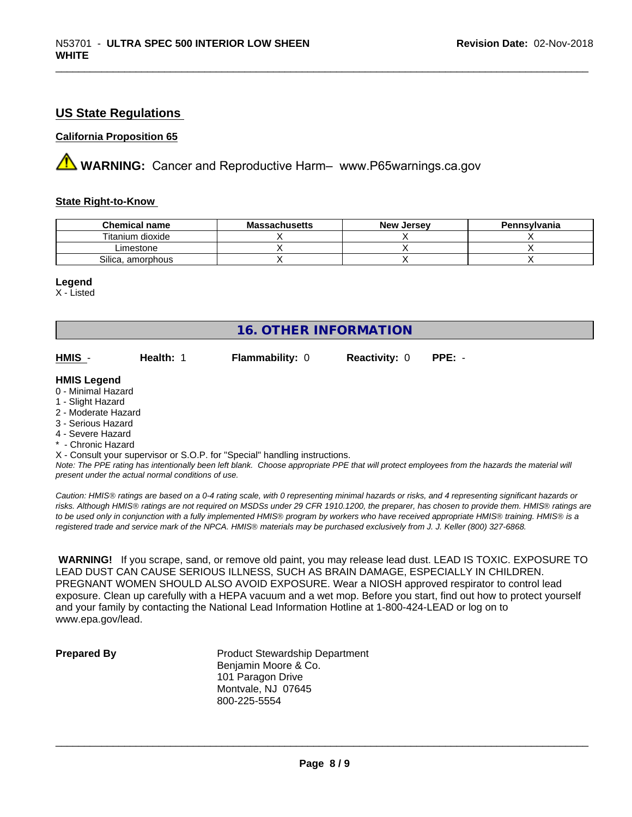# **US State Regulations**

#### **California Proposition 65**

**AVIMARNING:** Cancer and Reproductive Harm– www.P65warnings.ca.gov

# **State Right-to-Know**

| <b>Chemical name</b> | <b>Massachusetts</b> | <b>New Jersey</b> | Pennsylvania |
|----------------------|----------------------|-------------------|--------------|
| Titanium dioxide     |                      |                   |              |
| Limestone            |                      |                   |              |
| Silica, amorphous    |                      |                   |              |

#### **Legend**

X - Listed

| <b>16. OTHER INFORMATION</b>            |           |                                                                            |                      |          |  |  |
|-----------------------------------------|-----------|----------------------------------------------------------------------------|----------------------|----------|--|--|
| HMIS -                                  | Health: 1 | <b>Flammability: 0</b>                                                     | <b>Reactivity: 0</b> | $PPE: -$ |  |  |
| <b>HMIS Legend</b>                      |           |                                                                            |                      |          |  |  |
| 0 - Minimal Hazard<br>1 - Slight Hazard |           |                                                                            |                      |          |  |  |
| 2 - Moderate Hazard                     |           |                                                                            |                      |          |  |  |
| 3 - Serious Hazard                      |           |                                                                            |                      |          |  |  |
| 4 - Severe Hazard                       |           |                                                                            |                      |          |  |  |
| * - Chronic Hazard                      |           |                                                                            |                      |          |  |  |
|                                         |           | X - Consult your supervisor or S.O.P. for "Special" handling instructions. |                      |          |  |  |

*Note: The PPE rating has intentionally been left blank. Choose appropriate PPE that will protect employees from the hazards the material will present under the actual normal conditions of use.*

*Caution: HMISÒ ratings are based on a 0-4 rating scale, with 0 representing minimal hazards or risks, and 4 representing significant hazards or risks. Although HMISÒ ratings are not required on MSDSs under 29 CFR 1910.1200, the preparer, has chosen to provide them. HMISÒ ratings are to be used only in conjunction with a fully implemented HMISÒ program by workers who have received appropriate HMISÒ training. HMISÒ is a registered trade and service mark of the NPCA. HMISÒ materials may be purchased exclusively from J. J. Keller (800) 327-6868.*

 **WARNING!** If you scrape, sand, or remove old paint, you may release lead dust. LEAD IS TOXIC. EXPOSURE TO LEAD DUST CAN CAUSE SERIOUS ILLNESS, SUCH AS BRAIN DAMAGE, ESPECIALLY IN CHILDREN. PREGNANT WOMEN SHOULD ALSO AVOID EXPOSURE.Wear a NIOSH approved respirator to control lead exposure. Clean up carefully with a HEPA vacuum and a wet mop. Before you start, find out how to protect yourself and your family by contacting the National Lead Information Hotline at 1-800-424-LEAD or log on to www.epa.gov/lead.

**Prepared By** Product Stewardship Department Benjamin Moore & Co. 101 Paragon Drive Montvale, NJ 07645 800-225-5554